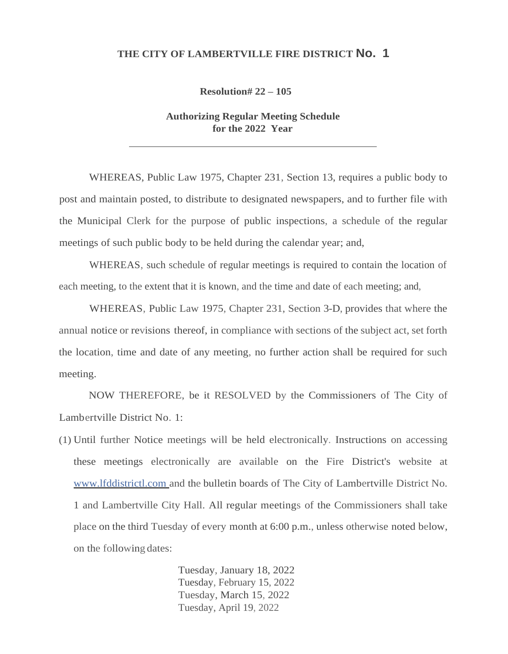## **THE CITY OF LAMBERTVILLE FIRE DISTRICT No. 1**

**Resolution# 22 – 105**

**Authorizing Regular Meeting Schedule for the 2022 Year**

WHEREAS, Public Law 1975, Chapter 231, Section 13, requires a public body to post and maintain posted, to distribute to designated newspapers, and to further file with the Municipal Clerk for the purpose of public inspections, a schedule of the regular meetings of such public body to be held during the calendar year; and,

WHEREAS, such schedule of regular meetings is required to contain the location of each meeting, to the extent that it is known, and the time and date of each meeting; and,

WHEREAS, Public Law 1975, Chapter 231, Section 3-D, provides that where the annual notice or revisions thereof, in compliance with sections of the subject act, set forth the location, time and date of any meeting, no further action shall be required for such meeting.

NOW THEREFORE, be it RESOLVED by the Commissioners of The City of Lambertville District No. 1:

(1) Until further Notice meetings will be held electronically. Instructions on accessing these meetings electronically are available on the Fire District's website at [www.lfddistrictl.com a](http://www.lfddistrictl.com/)nd the bulletin boards of The City of Lambertville District No. 1 and Lambertville City Hall. All regular meetings of the Commissioners shall take place on the third Tuesday of every month at 6:00 p.m., unless otherwise noted below, on the following dates:

> Tuesday, January 18, 2022 Tuesday, February 15, 2022 Tuesday, March 15, 2022 Tuesday, April 19, 2022